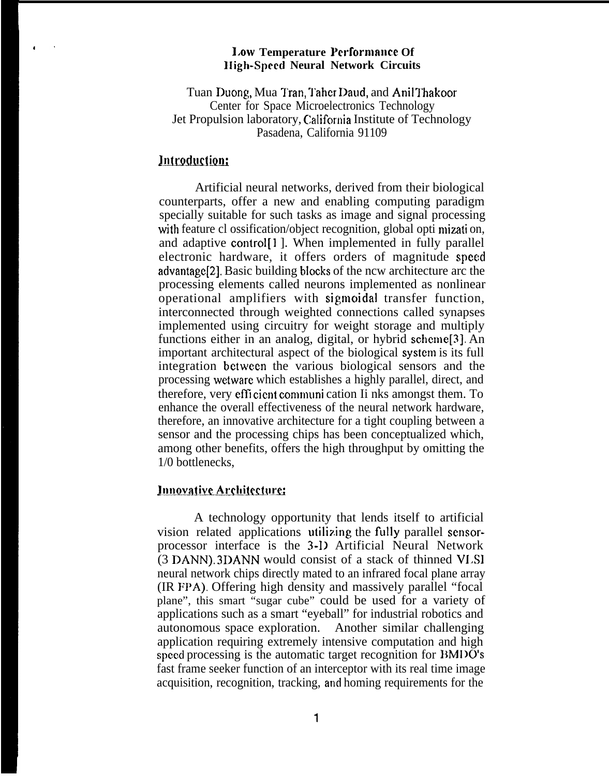#### **Low Temperature Performance Of lIigh-Speed Neural Network Circuits**

Tuan Duong, Mua Tran, Taher Daud, and Anil Thakoor Center for Space Microelectronics Technology Jet Propulsion laboratory, California Institute of Technology Pasadena, California 91109

# Introduction:

Artificial neural networks, derived from their biological counterparts, offer a new and enabling computing paradigm specially suitable for such tasks as image and signal processing with feature cl ossification/object recognition, global opti mization, and adaptive control<sup>[1]</sup>. When implemented in fully parallel electronic hardware, it offers orders of magnitude speed advantage<sup>[2]</sup>. Basic building blocks of the ncw architecture arc the processing elements called neurons implemented as nonlinear operational amplifiers with sigmoidal transfer function, interconnected through weighted connections called synapses implemented using circuitry for weight storage and multiply functions either in an analog, digital, or hybrid scheme[3], An important architectural aspect of the biological system is its full integration bctwccn the various biological sensors and the processing wetwarc which establishes a highly parallel, direct, and therefore, very efficient communi cation Ii nks amongst them. To enhance the overall effectiveness of the neural network hardware, therefore, an innovative architecture for a tight coupling between a sensor and the processing chips has been conceptualized which, among other benefits, offers the high throughput by omitting the 1/0 bottlenecks,

### **Innovative Architecture:**

A technology opportunity that lends itself to artificial vision related applications utilizing the fully parallel scnsorprocessor interface is the 3-D Artificial Neural Network (3 DANN). 3DANN would consist of a stack of thinned VLSI neural network chips directly mated to an infrared focal plane array (IR FPA). Offering high density and massively parallel "focal plane", this smart "sugar cube" could be used for a variety of applications such as a smart "eyeball" for industrial robotics and autonomous space exploration. Another similar challenging application requiring extremely intensive computation and high speed processing is the automatic target recognition for BMI)O'S fast frame seeker function of an interceptor with its real time image acquisition, recognition, tracking, and homing requirements for the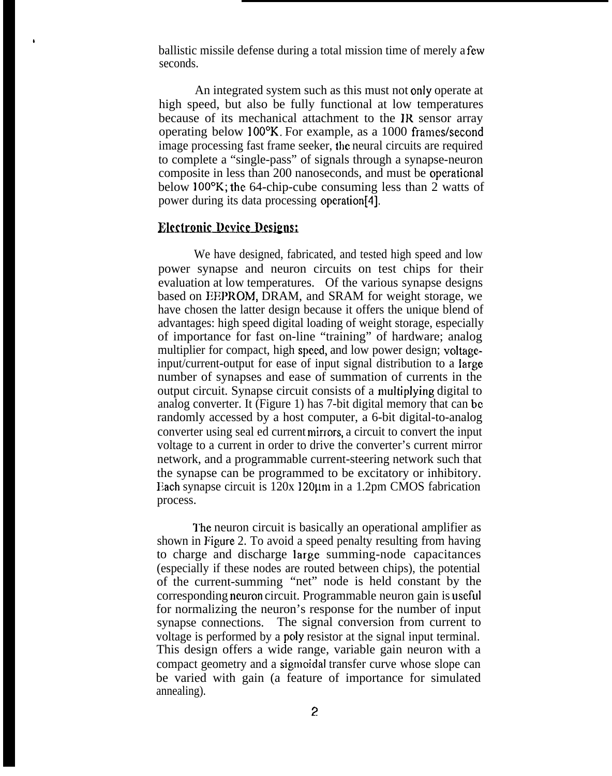ballistic missile defense during a total mission time of merely a few seconds.

An integrated system such as this must not only operate at high speed, but also be fully functional at low temperatures because of its mechanical attachment to the JR sensor array operating below  $100^{\circ}$ K. For example, as a 1000 frames/second image processing fast frame seeker, the neural circuits are required to complete a "single-pass" of signals through a synapse-neuron composite in less than 200 nanoseconds, and must be operational below 100°K; the 64-chip-cube consuming less than 2 watts of power during its data processing opcration[4].

#### **Electronic Device Designs:**

a

We have designed, fabricated, and tested high speed and low power synapse and neuron circuits on test chips for their evaluation at low temperatures. Of the various synapse designs based on EEPROM, DRAM, and SRAM for weight storage, we have chosen the latter design because it offers the unique blend of advantages: high speed digital loading of weight storage, especially of importance for fast on-line "training" of hardware; analog multiplier for compact, high speed, and low power design; voltageinput/current-output for ease of input signal distribution to a large number of synapses and ease of summation of currents in the output circuit. Synapse circuit consists of a nmltiplying digital to analog converter. It (Figure 1) has 7-bit digital memory that can bc randomly accessed by a host computer, a 6-bit digital-to-analog converter using seal ed current mirrors, a circuit to convert the input voltage to a current in order to drive the converter's current mirror network, and a programmable current-steering network such that the synapse can be programmed to be excitatory or inhibitory. Each synapse circuit is  $120x 120\mu$ m in a 1.2pm CMOS fabrication process.

The neuron circuit is basically an operational amplifier as shown in Figure 2. To avoid a speed penalty resulting from having to charge and discharge large summing-node capacitances (especially if these nodes are routed between chips), the potential of the current-summing "net" node is held constant by the corresponding neuron circuit. Programmable neuron gain is useful for normalizing the neuron's response for the number of input synapse connections. The signal conversion from current to voltage is performed by a poly resistor at the signal input terminal. This design offers a wide range, variable gain neuron with a compact geometry and a sigmoidal transfer curve whose slope can be varied with gain (a feature of importance for simulated annealing).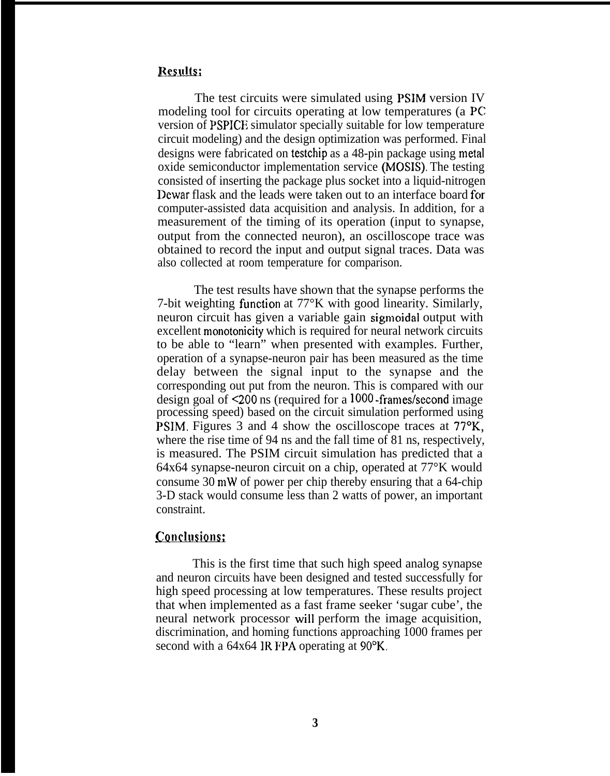# Results:

The test circuits were simulated using PSIM version IV modeling tool for circuits operating at low temperatures (a PC version of PSPICE simulator specially suitable for low temperature circuit modeling) and the design optimization was performed. Final designs were fabricated on testchip as a 48-pin package using metal oxide semiconductor implementation service (MOSIS). The testing consisted of inserting the package plus socket into a liquid-nitrogen Dewar flask and the leads were taken out to an interface board for computer-assisted data acquisition and analysis. In addition, for a measurement of the timing of its operation (input to synapse, output from the connected neuron), an oscilloscope trace was obtained to record the input and output signal traces. Data was also collected at room temperature for comparison.

The test results have shown that the synapse performs the 7-bit weighting function at  $77^{\circ}$ K with good linearity. Similarly, neuron circuit has given a variable gain sigmoidal output with excellent monotonicity which is required for neural network circuits to be able to "learn" when presented with examples. Further, operation of a synapse-neuron pair has been measured as the time delay between the signal input to the synapse and the corresponding out put from the neuron. This is compared with our design goal of  $\leq 200$  ns (required for a 1000-frames/second image processing speed) based on the circuit simulation performed using PSIM. Figures 3 and 4 show the oscilloscope traces at 77°K, where the rise time of 94 ns and the fall time of 81 ns, respectively, is measured. The PSIM circuit simulation has predicted that a 64x64 synapse-neuron circuit on a chip, operated at 77°K would consume 30 mW of power per chip thereby ensuring that a 64-chip 3-D stack would consume less than 2 watts of power, an important constraint.

# $$

This is the first time that such high speed analog synapse and neuron circuits have been designed and tested successfully for high speed processing at low temperatures. These results project that when implemented as a fast frame seeker 'sugar cube', the neural network processor will perform the image acquisition, discrimination, and homing functions approaching 1000 frames per second with a 64x64 IR FPA operating at 90°K.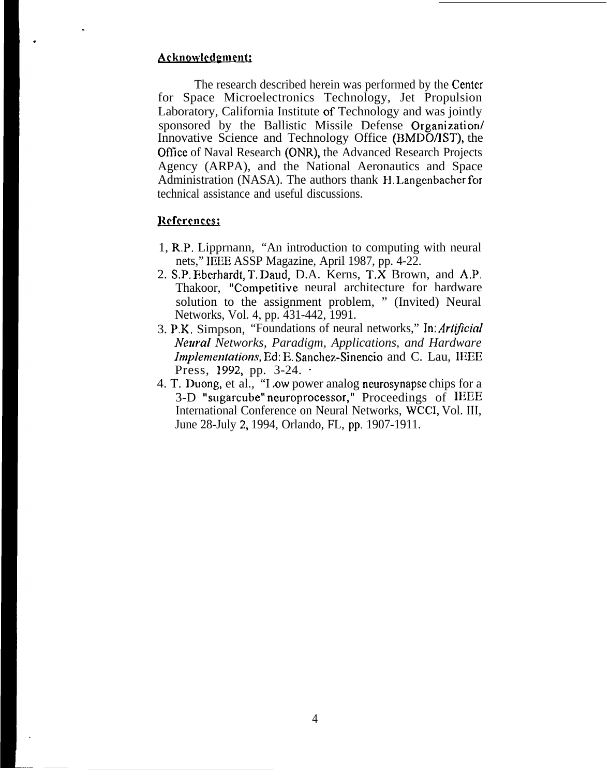## Acknowledgment:

.

.

The research described herein was performed by the Center for Space Microelectronics Technology, Jet Propulsion Laboratory, California Institute of Technology and was jointly sponsored by the Ballistic Missile Defense Organization/ Innovative Science and Technology Office (BMDO/JST), the OffIce of Naval Research (ONR), the Advanced Research Projects Agency (ARPA), and the National Aeronautics and Space Administration (NASA). The authors thank H, Langenbacher for technical assistance and useful discussions.

## References:

- 1, R.P. Lipprnann, "An introduction to computing with neural nets," IEEE ASSP Magazine, April 1987, pp. 4-22.
- 2. S.P. Eberhardt, T. Daud, D.A. Kerns, T.X Brown, and A,P. Thakoor, "Competitive neural architecture for hardware solution to the assignment problem, " (Invited) Neural Networks, Vol. 4, pp. 431-442, 1991.
- 3. P.K. Simpson, "Foundations of neural networks," In: Artificial *Neural Networks, Paradigm, Applications, and Hardware Implementations, Ed: E. Sanchez-Sinencio and C. Lau, IEEE* Press, 1992, pp.  $3-24$ .
- 4. T. Duong, et al., "I ow power analog neurosynapse chips for a 3-D "sugarcube" neuroprocessor," Proceedings of IEEE International Conference on Neural Networks, WCCI, Vol. III, June 28-July 2, 1994, Orlando, FL, pp. 1907-1911.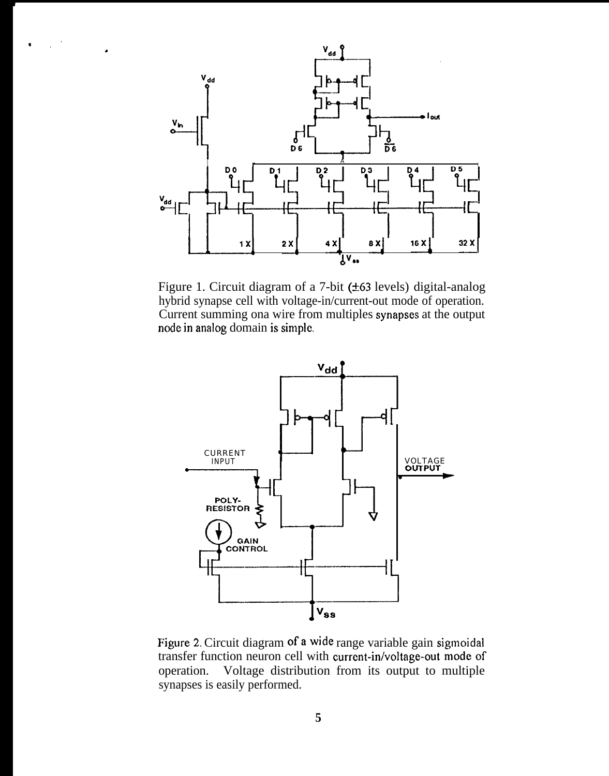

 $\bullet$ 

Figure 1. Circuit diagram of a 7-bit (±63 levels) digital-analog hybrid synapse cell with voltage-in/current-out mode of operation. Current summing ona wire from multiples synapses at the output node in analog domain is simple.



Figure 2. Circuit diagram of a wide range variable gain sigmoidal transfer function neuron cell with current-in/voltage-out mode of Voltage distribution from its output to multiple operation. synapses is easily performed.